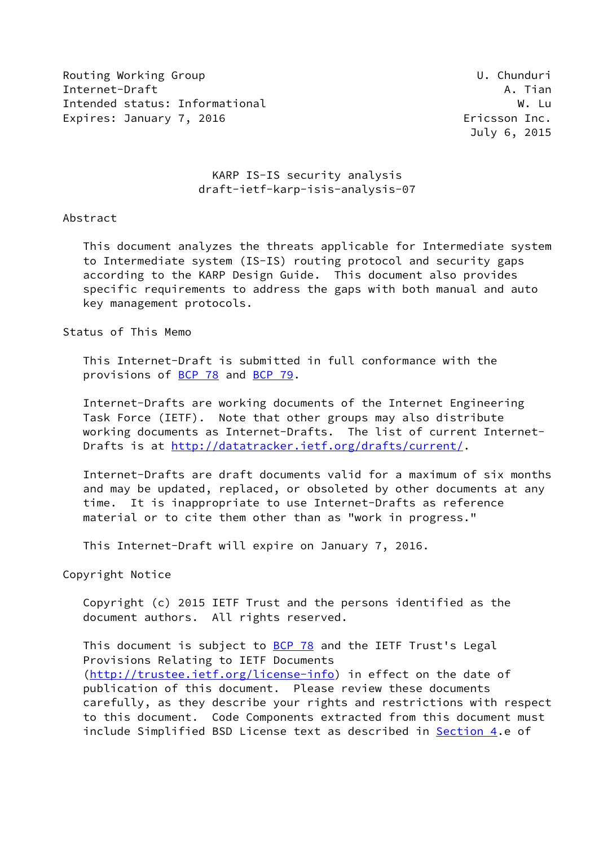Routing Working Group Communication Communication Communication Communication Communication Communication Comm Internet-Draft A. Tian Intended status: Informational W. Luis and W. Luis and W. Luis and W. Luis and W. Luis and W. Luis and W. Luis Expires: January 7, 2016 **Expires: January 7, 2016** 

July 6, 2015

# KARP IS-IS security analysis draft-ietf-karp-isis-analysis-07

### Abstract

 This document analyzes the threats applicable for Intermediate system to Intermediate system (IS-IS) routing protocol and security gaps according to the KARP Design Guide. This document also provides specific requirements to address the gaps with both manual and auto key management protocols.

Status of This Memo

 This Internet-Draft is submitted in full conformance with the provisions of [BCP 78](https://datatracker.ietf.org/doc/pdf/bcp78) and [BCP 79](https://datatracker.ietf.org/doc/pdf/bcp79).

 Internet-Drafts are working documents of the Internet Engineering Task Force (IETF). Note that other groups may also distribute working documents as Internet-Drafts. The list of current Internet Drafts is at<http://datatracker.ietf.org/drafts/current/>.

 Internet-Drafts are draft documents valid for a maximum of six months and may be updated, replaced, or obsoleted by other documents at any time. It is inappropriate to use Internet-Drafts as reference material or to cite them other than as "work in progress."

This Internet-Draft will expire on January 7, 2016.

Copyright Notice

 Copyright (c) 2015 IETF Trust and the persons identified as the document authors. All rights reserved.

This document is subject to [BCP 78](https://datatracker.ietf.org/doc/pdf/bcp78) and the IETF Trust's Legal Provisions Relating to IETF Documents [\(http://trustee.ietf.org/license-info](http://trustee.ietf.org/license-info)) in effect on the date of publication of this document. Please review these documents carefully, as they describe your rights and restrictions with respect to this document. Code Components extracted from this document must include Simplified BSD License text as described in [Section 4.](#page-10-0)e of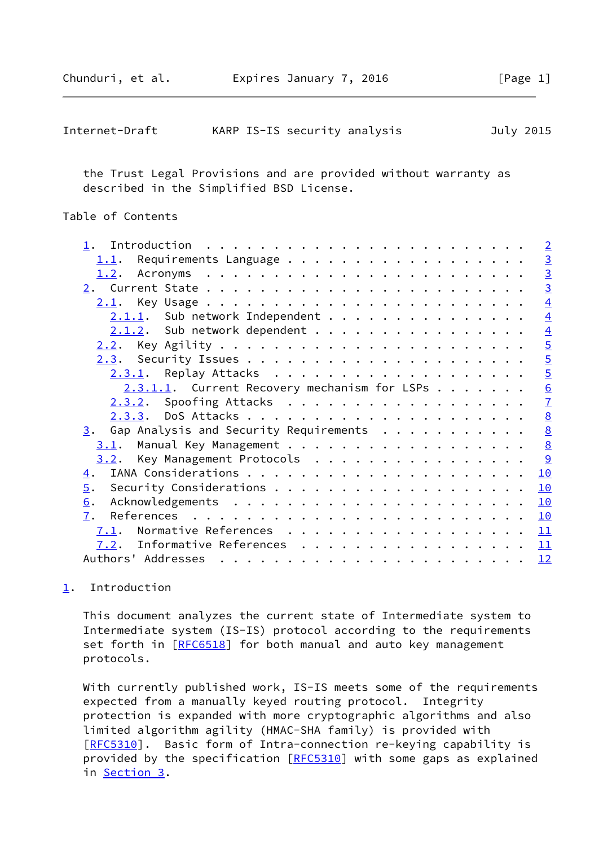<span id="page-1-1"></span>

| Internet-Draft | KARP IS-IS security analysis |  | July 2015 |
|----------------|------------------------------|--|-----------|
|----------------|------------------------------|--|-----------|

 the Trust Legal Provisions and are provided without warranty as described in the Simplified BSD License.

# Table of Contents

| Introduction $\cdots \cdots \cdots \cdots \cdots \cdots \cdots \cdots \cdots$ |                |
|-------------------------------------------------------------------------------|----------------|
| Requirements Language<br>1.1.                                                 | $\overline{3}$ |
|                                                                               | $\overline{3}$ |
|                                                                               | $\overline{3}$ |
| 2.1.                                                                          | $\overline{4}$ |
| $2.1.1.$ Sub network Independent                                              | $\overline{4}$ |
| $2.1.2$ . Sub network dependent                                               | $\overline{4}$ |
| <u>2.2</u> .                                                                  | $\overline{5}$ |
|                                                                               | $\overline{5}$ |
| $2.3.1$ . Replay Attacks                                                      | $\overline{5}$ |
| $2.3.1.1.$ Current Recovery mechanism for LSPs                                | 6              |
| 2.3.2. Spoofing Attacks                                                       | $\overline{1}$ |
|                                                                               | 8              |
| Gap Analysis and Security Requirements<br>3.                                  | 8              |
| 3.1.                                                                          | 8              |
| Key Management Protocols<br>3.2.                                              | $\overline{9}$ |
| $\overline{4}$ .                                                              | 10             |
| 5.                                                                            | 10             |
| 6.                                                                            | 10             |
| 7.                                                                            | 10             |
| Normative References<br>7.1.                                                  | 11             |
| 7.2. Informative References                                                   | 11             |
|                                                                               | 12             |
|                                                                               |                |

# <span id="page-1-0"></span>[1](#page-1-0). Introduction

 This document analyzes the current state of Intermediate system to Intermediate system (IS-IS) protocol according to the requirements set forth in [\[RFC6518](https://datatracker.ietf.org/doc/pdf/rfc6518)] for both manual and auto key management protocols.

With currently published work, IS-IS meets some of the requirements expected from a manually keyed routing protocol. Integrity protection is expanded with more cryptographic algorithms and also limited algorithm agility (HMAC-SHA family) is provided with [\[RFC5310](https://datatracker.ietf.org/doc/pdf/rfc5310)]. Basic form of Intra-connection re-keying capability is provided by the specification [[RFC5310](https://datatracker.ietf.org/doc/pdf/rfc5310)] with some gaps as explained in [Section 3.](#page-8-0)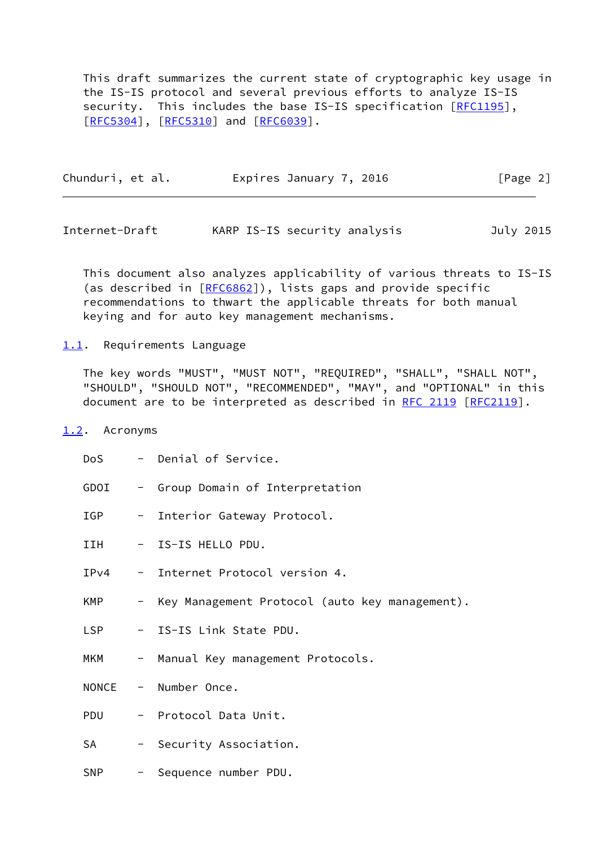This draft summarizes the current state of cryptographic key usage in the IS-IS protocol and several previous efforts to analyze IS-IS security. This includes the base IS-IS specification [[RFC1195](https://datatracker.ietf.org/doc/pdf/rfc1195)], [\[RFC5304](https://datatracker.ietf.org/doc/pdf/rfc5304)], [[RFC5310\]](https://datatracker.ietf.org/doc/pdf/rfc5310) and [\[RFC6039](https://datatracker.ietf.org/doc/pdf/rfc6039)].

| Chunduri, et al. | Expires January 7, 2016 | [Page 2] |
|------------------|-------------------------|----------|
|                  |                         |          |

<span id="page-2-1"></span>Internet-Draft KARP IS-IS security analysis July 2015

 This document also analyzes applicability of various threats to IS-IS (as described in [\[RFC6862](https://datatracker.ietf.org/doc/pdf/rfc6862)]), lists gaps and provide specific recommendations to thwart the applicable threats for both manual keying and for auto key management mechanisms.

<span id="page-2-0"></span>[1.1](#page-2-0). Requirements Language

 The key words "MUST", "MUST NOT", "REQUIRED", "SHALL", "SHALL NOT", "SHOULD", "SHOULD NOT", "RECOMMENDED", "MAY", and "OPTIONAL" in this document are to be interpreted as described in [RFC 2119 \[RFC2119](https://datatracker.ietf.org/doc/pdf/rfc2119)].

### <span id="page-2-2"></span>[1.2](#page-2-2). Acronyms

| DoS        | - Denial of Service.                             |
|------------|--------------------------------------------------|
| GDOI       | - Group Domain of Interpretation                 |
| IGP        | - Interior Gateway Protocol.                     |
| IIH        | - IS-IS HELLO PDU.                               |
| IPv4       | - Internet Protocol version 4.                   |
| KMP        | - Key Management Protocol (auto key management). |
| <b>LSP</b> | - IS-IS Link State PDU.                          |
| MKM        | - Manual Key management Protocols.               |
|            | NONCE - Number Once.                             |
| <b>PDU</b> | - Protocol Data Unit.                            |
| <b>SA</b>  | - Security Association.                          |
| SNP        | - Sequence number PDU.                           |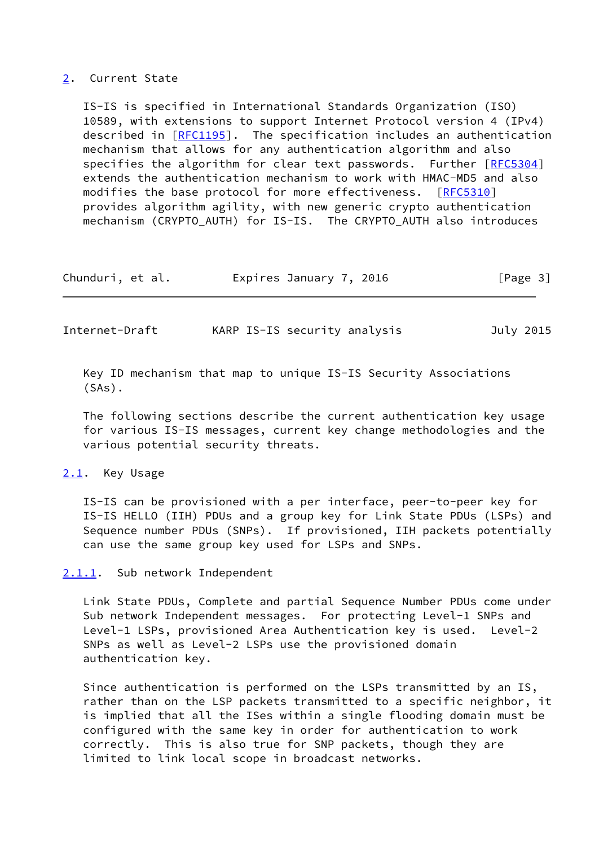### <span id="page-3-0"></span>[2](#page-3-0). Current State

 IS-IS is specified in International Standards Organization (ISO) 10589, with extensions to support Internet Protocol version 4 (IPv4) described in [\[RFC1195](https://datatracker.ietf.org/doc/pdf/rfc1195)]. The specification includes an authentication mechanism that allows for any authentication algorithm and also specifies the algorithm for clear text passwords. Further [[RFC5304\]](https://datatracker.ietf.org/doc/pdf/rfc5304) extends the authentication mechanism to work with HMAC-MD5 and also modifies the base protocol for more effectiveness. [\[RFC5310](https://datatracker.ietf.org/doc/pdf/rfc5310)] provides algorithm agility, with new generic crypto authentication mechanism (CRYPTO\_AUTH) for IS-IS. The CRYPTO\_AUTH also introduces

| Chunduri, et al. | Expires January 7, 2016 | [Page 3] |
|------------------|-------------------------|----------|
|------------------|-------------------------|----------|

<span id="page-3-2"></span>Internet-Draft KARP IS-IS security analysis July 2015

 Key ID mechanism that map to unique IS-IS Security Associations (SAs).

 The following sections describe the current authentication key usage for various IS-IS messages, current key change methodologies and the various potential security threats.

#### <span id="page-3-1"></span>[2.1](#page-3-1). Key Usage

 IS-IS can be provisioned with a per interface, peer-to-peer key for IS-IS HELLO (IIH) PDUs and a group key for Link State PDUs (LSPs) and Sequence number PDUs (SNPs). If provisioned, IIH packets potentially can use the same group key used for LSPs and SNPs.

# <span id="page-3-3"></span>[2.1.1](#page-3-3). Sub network Independent

 Link State PDUs, Complete and partial Sequence Number PDUs come under Sub network Independent messages. For protecting Level-1 SNPs and Level-1 LSPs, provisioned Area Authentication key is used. Level-2 SNPs as well as Level-2 LSPs use the provisioned domain authentication key.

 Since authentication is performed on the LSPs transmitted by an IS, rather than on the LSP packets transmitted to a specific neighbor, it is implied that all the ISes within a single flooding domain must be configured with the same key in order for authentication to work correctly. This is also true for SNP packets, though they are limited to link local scope in broadcast networks.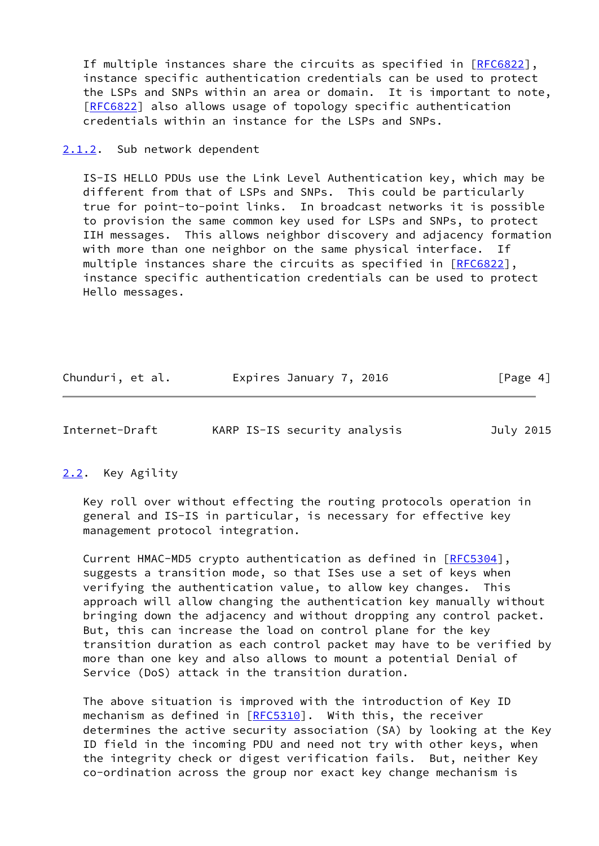If multiple instances share the circuits as specified in [\[RFC6822](https://datatracker.ietf.org/doc/pdf/rfc6822)], instance specific authentication credentials can be used to protect the LSPs and SNPs within an area or domain. It is important to note, [\[RFC6822](https://datatracker.ietf.org/doc/pdf/rfc6822)] also allows usage of topology specific authentication credentials within an instance for the LSPs and SNPs.

#### <span id="page-4-0"></span>[2.1.2](#page-4-0). Sub network dependent

 IS-IS HELLO PDUs use the Link Level Authentication key, which may be different from that of LSPs and SNPs. This could be particularly true for point-to-point links. In broadcast networks it is possible to provision the same common key used for LSPs and SNPs, to protect IIH messages. This allows neighbor discovery and adjacency formation with more than one neighbor on the same physical interface. If multiple instances share the circuits as specified in [[RFC6822](https://datatracker.ietf.org/doc/pdf/rfc6822)], instance specific authentication credentials can be used to protect Hello messages.

| Chunduri, et al. | Expires January 7, 2016 | [Page 4] |
|------------------|-------------------------|----------|
|------------------|-------------------------|----------|

<span id="page-4-2"></span>Internet-Draft KARP IS-IS security analysis July 2015

# <span id="page-4-1"></span>[2.2](#page-4-1). Key Agility

 Key roll over without effecting the routing protocols operation in general and IS-IS in particular, is necessary for effective key management protocol integration.

Current HMAC-MD5 crypto authentication as defined in [\[RFC5304](https://datatracker.ietf.org/doc/pdf/rfc5304)], suggests a transition mode, so that ISes use a set of keys when verifying the authentication value, to allow key changes. This approach will allow changing the authentication key manually without bringing down the adjacency and without dropping any control packet. But, this can increase the load on control plane for the key transition duration as each control packet may have to be verified by more than one key and also allows to mount a potential Denial of Service (DoS) attack in the transition duration.

 The above situation is improved with the introduction of Key ID mechanism as defined in [\[RFC5310](https://datatracker.ietf.org/doc/pdf/rfc5310)]. With this, the receiver determines the active security association (SA) by looking at the Key ID field in the incoming PDU and need not try with other keys, when the integrity check or digest verification fails. But, neither Key co-ordination across the group nor exact key change mechanism is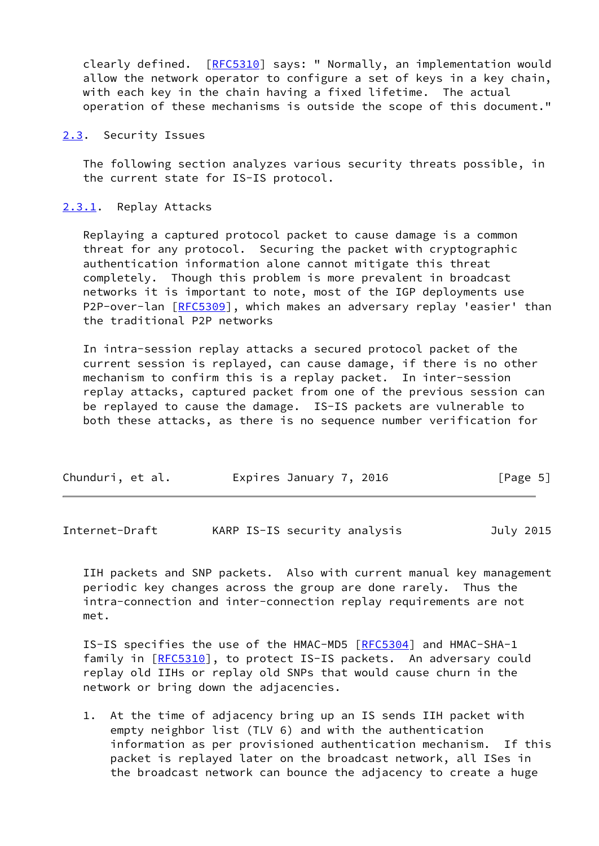clearly defined. [[RFC5310](https://datatracker.ietf.org/doc/pdf/rfc5310)] says: " Normally, an implementation would allow the network operator to configure a set of keys in a key chain, with each key in the chain having a fixed lifetime. The actual operation of these mechanisms is outside the scope of this document."

<span id="page-5-0"></span>[2.3](#page-5-0). Security Issues

 The following section analyzes various security threats possible, in the current state for IS-IS protocol.

<span id="page-5-1"></span>[2.3.1](#page-5-1). Replay Attacks

 Replaying a captured protocol packet to cause damage is a common threat for any protocol. Securing the packet with cryptographic authentication information alone cannot mitigate this threat completely. Though this problem is more prevalent in broadcast networks it is important to note, most of the IGP deployments use P2P-over-lan [\[RFC5309](https://datatracker.ietf.org/doc/pdf/rfc5309)], which makes an adversary replay 'easier' than the traditional P2P networks

 In intra-session replay attacks a secured protocol packet of the current session is replayed, can cause damage, if there is no other mechanism to confirm this is a replay packet. In inter-session replay attacks, captured packet from one of the previous session can be replayed to cause the damage. IS-IS packets are vulnerable to both these attacks, as there is no sequence number verification for

| Chunduri, et al. | Expires January 7, 2016 | [Page 5] |
|------------------|-------------------------|----------|
|------------------|-------------------------|----------|

<span id="page-5-2"></span>Internet-Draft KARP IS-IS security analysis July 2015

 IIH packets and SNP packets. Also with current manual key management periodic key changes across the group are done rarely. Thus the intra-connection and inter-connection replay requirements are not met.

IS-IS specifies the use of the HMAC-MD5 [\[RFC5304](https://datatracker.ietf.org/doc/pdf/rfc5304)] and HMAC-SHA-1 family in [[RFC5310](https://datatracker.ietf.org/doc/pdf/rfc5310)], to protect IS-IS packets. An adversary could replay old IIHs or replay old SNPs that would cause churn in the network or bring down the adjacencies.

 1. At the time of adjacency bring up an IS sends IIH packet with empty neighbor list (TLV 6) and with the authentication information as per provisioned authentication mechanism. If this packet is replayed later on the broadcast network, all ISes in the broadcast network can bounce the adjacency to create a huge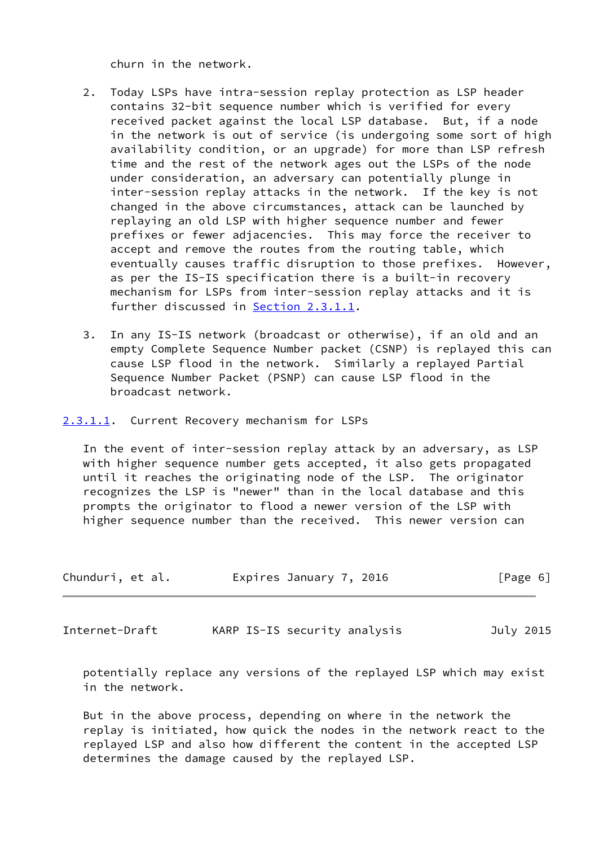churn in the network.

- 2. Today LSPs have intra-session replay protection as LSP header contains 32-bit sequence number which is verified for every received packet against the local LSP database. But, if a node in the network is out of service (is undergoing some sort of high availability condition, or an upgrade) for more than LSP refresh time and the rest of the network ages out the LSPs of the node under consideration, an adversary can potentially plunge in inter-session replay attacks in the network. If the key is not changed in the above circumstances, attack can be launched by replaying an old LSP with higher sequence number and fewer prefixes or fewer adjacencies. This may force the receiver to accept and remove the routes from the routing table, which eventually causes traffic disruption to those prefixes. However, as per the IS-IS specification there is a built-in recovery mechanism for LSPs from inter-session replay attacks and it is further discussed in [Section 2.3.1.1](#page-6-0).
- 3. In any IS-IS network (broadcast or otherwise), if an old and an empty Complete Sequence Number packet (CSNP) is replayed this can cause LSP flood in the network. Similarly a replayed Partial Sequence Number Packet (PSNP) can cause LSP flood in the broadcast network.
- <span id="page-6-0"></span>[2.3.1.1](#page-6-0). Current Recovery mechanism for LSPs

 In the event of inter-session replay attack by an adversary, as LSP with higher sequence number gets accepted, it also gets propagated until it reaches the originating node of the LSP. The originator recognizes the LSP is "newer" than in the local database and this prompts the originator to flood a newer version of the LSP with higher sequence number than the received. This newer version can

| Chunduri, et al. | Expires January 7, 2016 | [Page 6] |
|------------------|-------------------------|----------|
|------------------|-------------------------|----------|

<span id="page-6-1"></span>Internet-Draft KARP IS-IS security analysis July 2015

 potentially replace any versions of the replayed LSP which may exist in the network.

 But in the above process, depending on where in the network the replay is initiated, how quick the nodes in the network react to the replayed LSP and also how different the content in the accepted LSP determines the damage caused by the replayed LSP.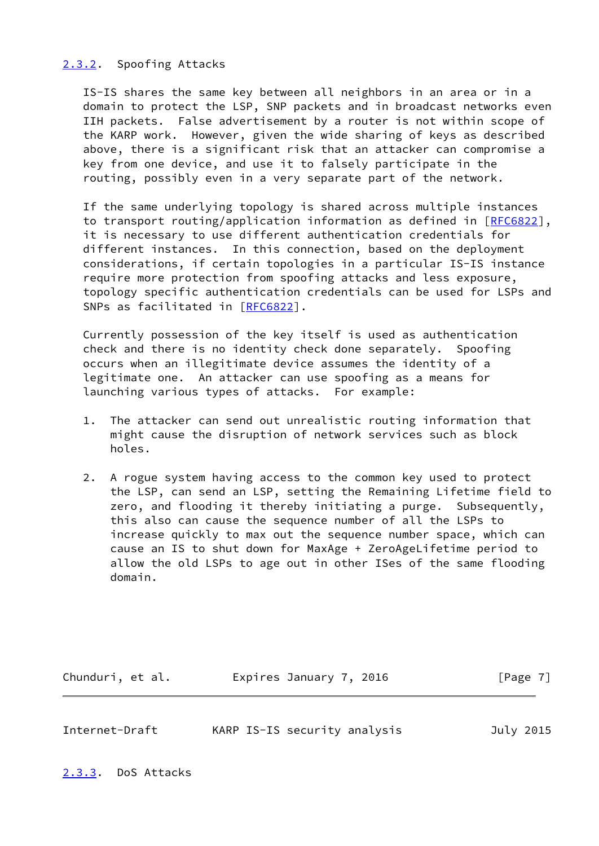# <span id="page-7-0"></span>[2.3.2](#page-7-0). Spoofing Attacks

 IS-IS shares the same key between all neighbors in an area or in a domain to protect the LSP, SNP packets and in broadcast networks even IIH packets. False advertisement by a router is not within scope of the KARP work. However, given the wide sharing of keys as described above, there is a significant risk that an attacker can compromise a key from one device, and use it to falsely participate in the routing, possibly even in a very separate part of the network.

 If the same underlying topology is shared across multiple instances to transport routing/application information as defined in [[RFC6822\]](https://datatracker.ietf.org/doc/pdf/rfc6822), it is necessary to use different authentication credentials for different instances. In this connection, based on the deployment considerations, if certain topologies in a particular IS-IS instance require more protection from spoofing attacks and less exposure, topology specific authentication credentials can be used for LSPs and SNPs as facilitated in [\[RFC6822](https://datatracker.ietf.org/doc/pdf/rfc6822)].

 Currently possession of the key itself is used as authentication check and there is no identity check done separately. Spoofing occurs when an illegitimate device assumes the identity of a legitimate one. An attacker can use spoofing as a means for launching various types of attacks. For example:

- 1. The attacker can send out unrealistic routing information that might cause the disruption of network services such as block holes.
- 2. A rogue system having access to the common key used to protect the LSP, can send an LSP, setting the Remaining Lifetime field to zero, and flooding it thereby initiating a purge. Subsequently, this also can cause the sequence number of all the LSPs to increase quickly to max out the sequence number space, which can cause an IS to shut down for MaxAge + ZeroAgeLifetime period to allow the old LSPs to age out in other ISes of the same flooding domain.

Chunduri, et al. **Expires January 7, 2016** [Page 7]

<span id="page-7-2"></span>

| Internet-Draft |  | KARP IS-IS security analysis | July 2015 |
|----------------|--|------------------------------|-----------|
|                |  |                              |           |

<span id="page-7-1"></span>[2.3.3](#page-7-1). DoS Attacks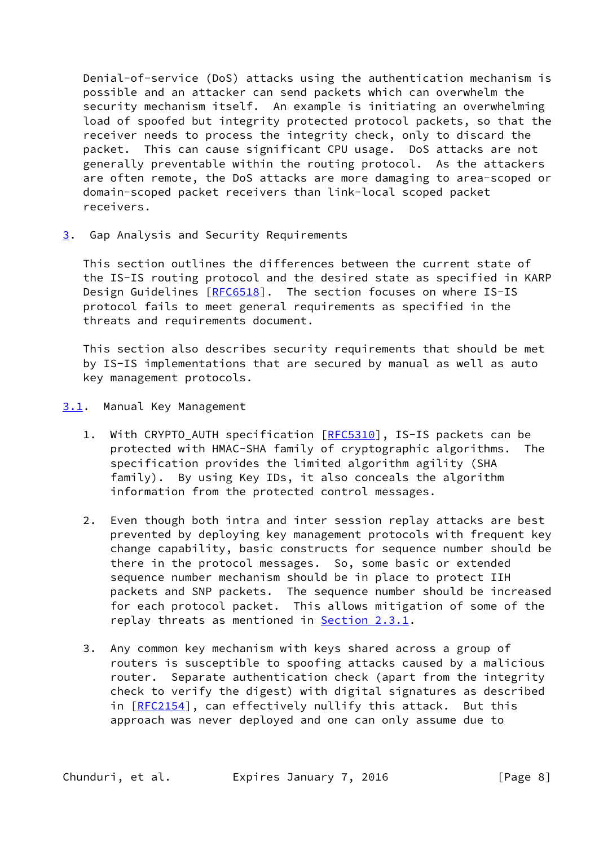Denial-of-service (DoS) attacks using the authentication mechanism is possible and an attacker can send packets which can overwhelm the security mechanism itself. An example is initiating an overwhelming load of spoofed but integrity protected protocol packets, so that the receiver needs to process the integrity check, only to discard the packet. This can cause significant CPU usage. DoS attacks are not generally preventable within the routing protocol. As the attackers are often remote, the DoS attacks are more damaging to area-scoped or domain-scoped packet receivers than link-local scoped packet receivers.

<span id="page-8-0"></span>[3](#page-8-0). Gap Analysis and Security Requirements

 This section outlines the differences between the current state of the IS-IS routing protocol and the desired state as specified in KARP Design Guidelines [[RFC6518](https://datatracker.ietf.org/doc/pdf/rfc6518)]. The section focuses on where IS-IS protocol fails to meet general requirements as specified in the threats and requirements document.

 This section also describes security requirements that should be met by IS-IS implementations that are secured by manual as well as auto key management protocols.

- <span id="page-8-1"></span>[3.1](#page-8-1). Manual Key Management
	- 1. With CRYPTO\_AUTH specification [[RFC5310\]](https://datatracker.ietf.org/doc/pdf/rfc5310), IS-IS packets can be protected with HMAC-SHA family of cryptographic algorithms. The specification provides the limited algorithm agility (SHA family). By using Key IDs, it also conceals the algorithm information from the protected control messages.
	- 2. Even though both intra and inter session replay attacks are best prevented by deploying key management protocols with frequent key change capability, basic constructs for sequence number should be there in the protocol messages. So, some basic or extended sequence number mechanism should be in place to protect IIH packets and SNP packets. The sequence number should be increased for each protocol packet. This allows mitigation of some of the replay threats as mentioned in **Section 2.3.1**.
	- 3. Any common key mechanism with keys shared across a group of routers is susceptible to spoofing attacks caused by a malicious router. Separate authentication check (apart from the integrity check to verify the digest) with digital signatures as described in [\[RFC2154](https://datatracker.ietf.org/doc/pdf/rfc2154)], can effectively nullify this attack. But this approach was never deployed and one can only assume due to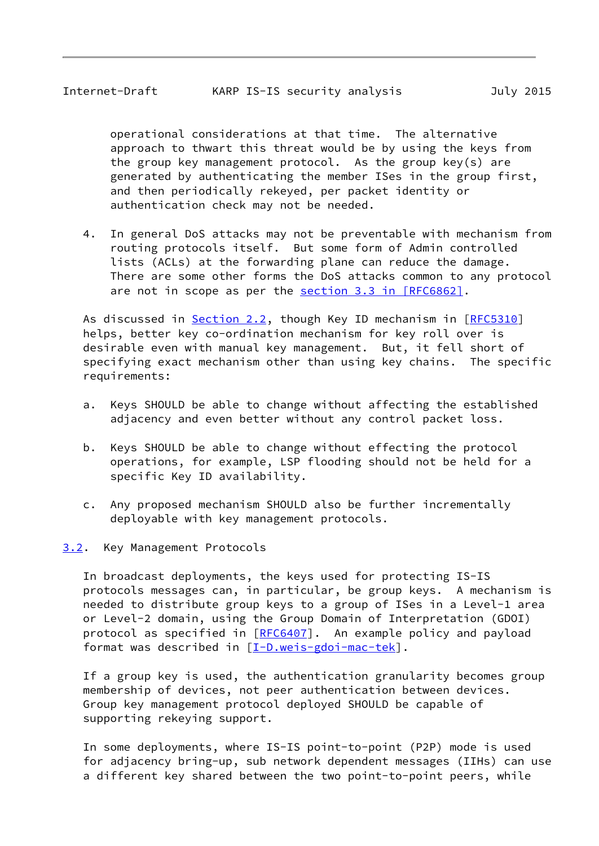<span id="page-9-1"></span> operational considerations at that time. The alternative approach to thwart this threat would be by using the keys from the group key management protocol. As the group key(s) are generated by authenticating the member ISes in the group first, and then periodically rekeyed, per packet identity or authentication check may not be needed.

 4. In general DoS attacks may not be preventable with mechanism from routing protocols itself. But some form of Admin controlled lists (ACLs) at the forwarding plane can reduce the damage. There are some other forms the DoS attacks common to any protocol are not in scope as per the section [3.3 in \[RFC6862\]](https://datatracker.ietf.org/doc/pdf/rfc6862#section-3.3).

As discussed in [Section 2.2](#page-4-1), though Key ID mechanism in [\[RFC5310](https://datatracker.ietf.org/doc/pdf/rfc5310)] helps, better key co-ordination mechanism for key roll over is desirable even with manual key management. But, it fell short of specifying exact mechanism other than using key chains. The specific requirements:

- a. Keys SHOULD be able to change without affecting the established adjacency and even better without any control packet loss.
- b. Keys SHOULD be able to change without effecting the protocol operations, for example, LSP flooding should not be held for a specific Key ID availability.
- c. Any proposed mechanism SHOULD also be further incrementally deployable with key management protocols.
- <span id="page-9-0"></span>[3.2](#page-9-0). Key Management Protocols

 In broadcast deployments, the keys used for protecting IS-IS protocols messages can, in particular, be group keys. A mechanism is needed to distribute group keys to a group of ISes in a Level-1 area or Level-2 domain, using the Group Domain of Interpretation (GDOI) protocol as specified in [\[RFC6407](https://datatracker.ietf.org/doc/pdf/rfc6407)]. An example policy and payload format was described in [\[I-D.weis-gdoi-mac-tek](#page-11-4)].

 If a group key is used, the authentication granularity becomes group membership of devices, not peer authentication between devices. Group key management protocol deployed SHOULD be capable of supporting rekeying support.

 In some deployments, where IS-IS point-to-point (P2P) mode is used for adjacency bring-up, sub network dependent messages (IIHs) can use a different key shared between the two point-to-point peers, while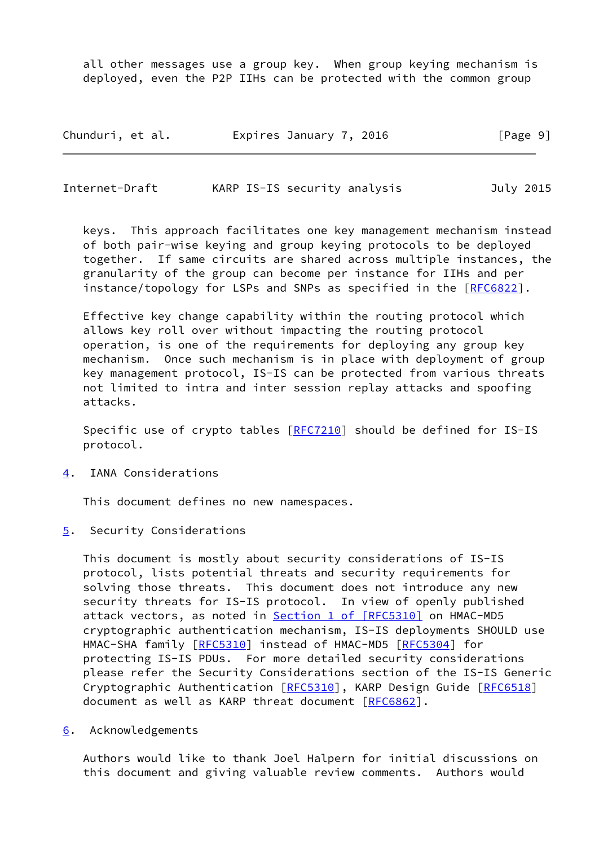all other messages use a group key. When group keying mechanism is deployed, even the P2P IIHs can be protected with the common group

| Chunduri, et al. | Expires January 7, 2016 | [Page 9] |
|------------------|-------------------------|----------|
|------------------|-------------------------|----------|

<span id="page-10-1"></span>Internet-Draft KARP IS-IS security analysis July 2015

 keys. This approach facilitates one key management mechanism instead of both pair-wise keying and group keying protocols to be deployed together. If same circuits are shared across multiple instances, the granularity of the group can become per instance for IIHs and per instance/topology for LSPs and SNPs as specified in the [\[RFC6822](https://datatracker.ietf.org/doc/pdf/rfc6822)].

 Effective key change capability within the routing protocol which allows key roll over without impacting the routing protocol operation, is one of the requirements for deploying any group key mechanism. Once such mechanism is in place with deployment of group key management protocol, IS-IS can be protected from various threats not limited to intra and inter session replay attacks and spoofing attacks.

 Specific use of crypto tables [[RFC7210](https://datatracker.ietf.org/doc/pdf/rfc7210)] should be defined for IS-IS protocol.

<span id="page-10-0"></span>[4](#page-10-0). IANA Considerations

This document defines no new namespaces.

<span id="page-10-2"></span>[5](#page-10-2). Security Considerations

 This document is mostly about security considerations of IS-IS protocol, lists potential threats and security requirements for solving those threats. This document does not introduce any new security threats for IS-IS protocol. In view of openly published attack vectors, as noted in **Section [1 of \[RFC5310\]](https://datatracker.ietf.org/doc/pdf/rfc5310#section-1)** on HMAC-MD5 cryptographic authentication mechanism, IS-IS deployments SHOULD use HMAC-SHA family [\[RFC5310](https://datatracker.ietf.org/doc/pdf/rfc5310)] instead of HMAC-MD5 [[RFC5304](https://datatracker.ietf.org/doc/pdf/rfc5304)] for protecting IS-IS PDUs. For more detailed security considerations please refer the Security Considerations section of the IS-IS Generic Cryptographic Authentication [\[RFC5310](https://datatracker.ietf.org/doc/pdf/rfc5310)], KARP Design Guide [[RFC6518](https://datatracker.ietf.org/doc/pdf/rfc6518)] document as well as KARP threat document [\[RFC6862](https://datatracker.ietf.org/doc/pdf/rfc6862)].

<span id="page-10-3"></span>[6](#page-10-3). Acknowledgements

 Authors would like to thank Joel Halpern for initial discussions on this document and giving valuable review comments. Authors would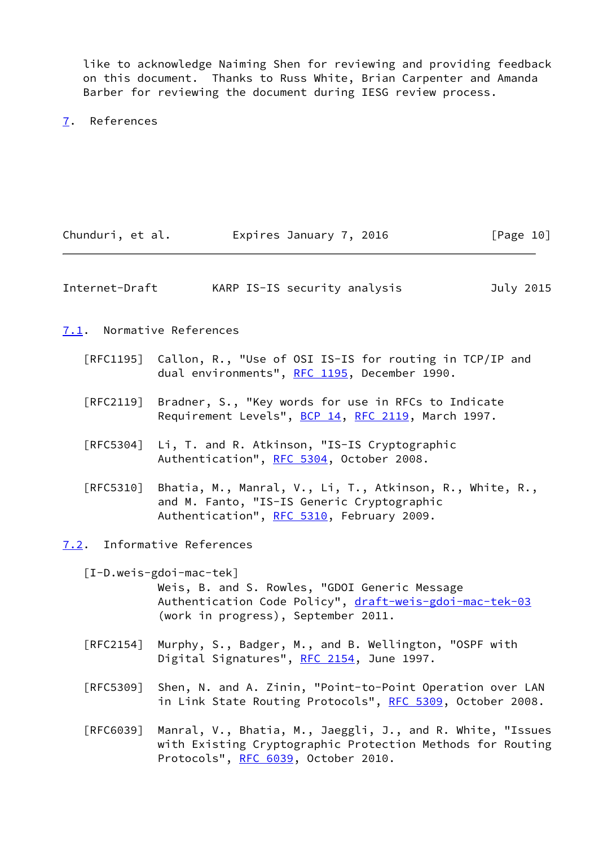like to acknowledge Naiming Shen for reviewing and providing feedback on this document. Thanks to Russ White, Brian Carpenter and Amanda Barber for reviewing the document during IESG review process.

<span id="page-11-0"></span>[7](#page-11-0). References

<span id="page-11-2"></span><span id="page-11-1"></span>

| Chunduri, et al.                 | Expires January 7, 2016                                                                                                                                                      | [Page 10] |
|----------------------------------|------------------------------------------------------------------------------------------------------------------------------------------------------------------------------|-----------|
| Internet-Draft                   | KARP IS-IS security analysis                                                                                                                                                 | July 2015 |
|                                  | 7.1. Normative References                                                                                                                                                    |           |
|                                  | [RFC1195] Callon, R., "Use of OSI IS-IS for routing in TCP/IP and<br>dual environments", RFC 1195, December 1990.                                                            |           |
| $\lceil \mathsf{RFC2119} \rceil$ | Bradner, S., "Key words for use in RFCs to Indicate<br>Requirement Levels", BCP 14, RFC 2119, March 1997.                                                                    |           |
| $\lceil$ RFC5304]                | Li, T. and R. Atkinson, "IS-IS Cryptographic<br>Authentication", RFC 5304, October 2008.                                                                                     |           |
| [RFC5310]                        | Bhatia, M., Manral, V., Li, T., Atkinson, R., White, R.,<br>and M. Fanto, "IS-IS Generic Cryptographic<br>Authentication", RFC 5310, February 2009.                          |           |
| 7.2.                             | Informative References                                                                                                                                                       |           |
|                                  | $[I-D.weis-gdoi-mac-tek]$<br>Weis, B. and S. Rowles, "GDOI Generic Message<br>Authentication Code Policy", draft-weis-gdoi-mac-tek-03<br>(work in progress), September 2011. |           |
| $\lceil \mathsf{RFC2154} \rceil$ | Murphy, S., Badger, M., and B. Wellington, "OSPF with<br>Digital Signatures", RFC 2154, June 1997.                                                                           |           |
| <b>FRFC53091</b>                 | Shen, N. and A. Zinin, "Point-to-Point Operation over LAN                                                                                                                    |           |

 [RFC6039] Manral, V., Bhatia, M., Jaeggli, J., and R. White, "Issues with Existing Cryptographic Protection Methods for Routing Protocols", [RFC 6039,](https://datatracker.ietf.org/doc/pdf/rfc6039) October 2010.

<span id="page-11-4"></span><span id="page-11-3"></span>in Link State Routing Protocols", [RFC 5309](https://datatracker.ietf.org/doc/pdf/rfc5309), October 2008.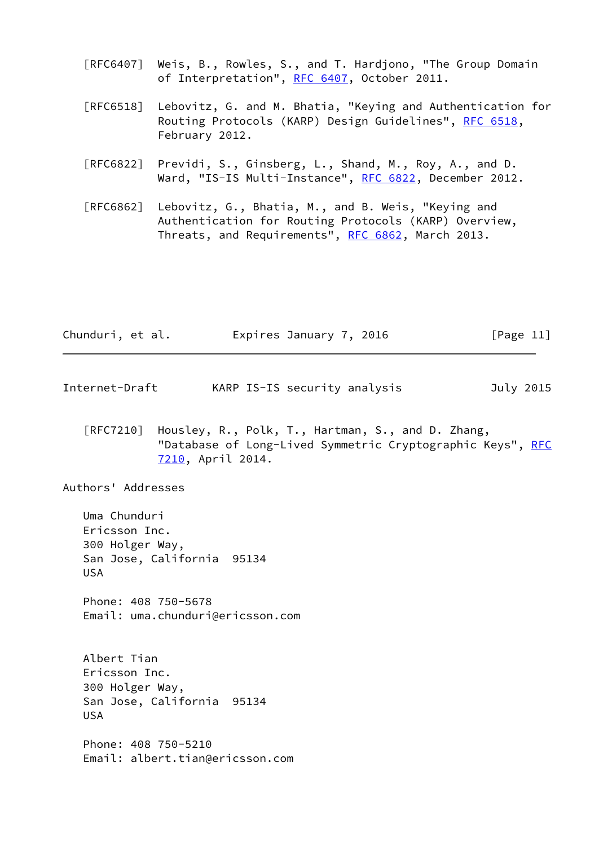- [RFC6407] Weis, B., Rowles, S., and T. Hardjono, "The Group Domain of Interpretation", [RFC 6407,](https://datatracker.ietf.org/doc/pdf/rfc6407) October 2011.
- [RFC6518] Lebovitz, G. and M. Bhatia, "Keying and Authentication for Routing Protocols (KARP) Design Guidelines", [RFC 6518](https://datatracker.ietf.org/doc/pdf/rfc6518), February 2012.
- [RFC6822] Previdi, S., Ginsberg, L., Shand, M., Roy, A., and D. Ward, "IS-IS Multi-Instance", [RFC 6822](https://datatracker.ietf.org/doc/pdf/rfc6822), December 2012.
- [RFC6862] Lebovitz, G., Bhatia, M., and B. Weis, "Keying and Authentication for Routing Protocols (KARP) Overview, Threats, and Requirements", [RFC 6862,](https://datatracker.ietf.org/doc/pdf/rfc6862) March 2013.

| Chunduri, et al. | Expires January 7, 2016 | [Page 11] |
|------------------|-------------------------|-----------|
|------------------|-------------------------|-----------|

- <span id="page-12-0"></span>Internet-Draft KARP IS-IS security analysis July 2015
	- [RFC7210] Housley, R., Polk, T., Hartman, S., and D. Zhang, "Database of Long-Lived Symmetric Cryptographic Keys", [RFC](https://datatracker.ietf.org/doc/pdf/rfc7210) [7210,](https://datatracker.ietf.org/doc/pdf/rfc7210) April 2014.

Authors' Addresses

 Uma Chunduri Ericsson Inc. 300 Holger Way, San Jose, California 95134 USA

 Phone: 408 750-5678 Email: uma.chunduri@ericsson.com

 Albert Tian Ericsson Inc. 300 Holger Way, San Jose, California 95134 USA

 Phone: 408 750-5210 Email: albert.tian@ericsson.com